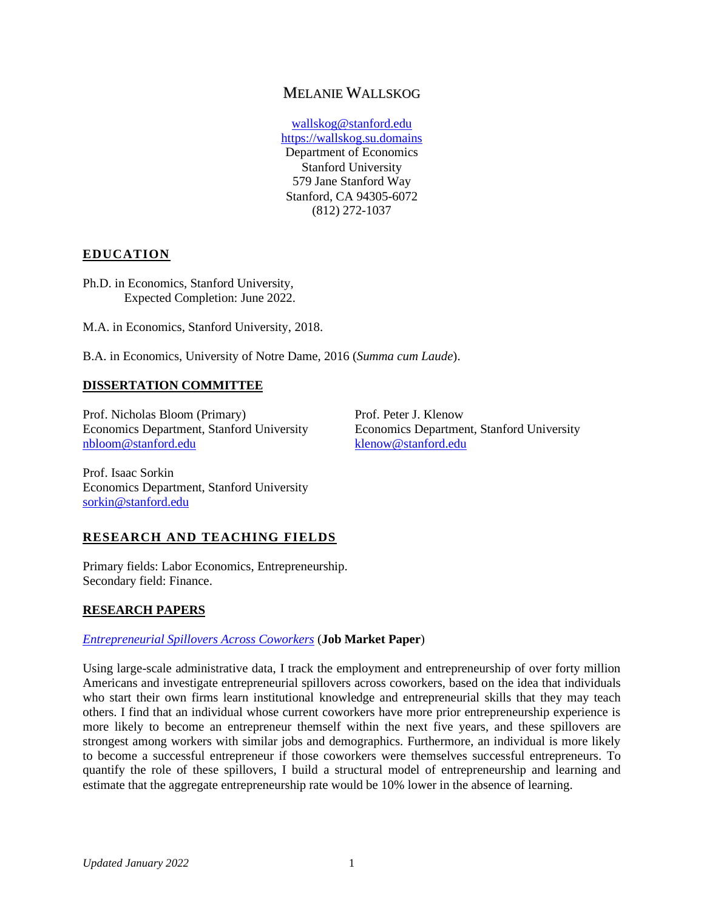# MELANIE WALLSKOG

wallskog@stanford.edu [https://wallskog.su.domains](https://wallskog.su.domains/) Department of Economics Stanford University 579 Jane Stanford Way Stanford, CA 94305-6072 (812) 272-1037

# **EDUCATION**

Ph.D. in Economics, Stanford University, Expected Completion: June 2022.

M.A. in Economics, Stanford University, 2018.

B.A. in Economics, University of Notre Dame, 2016 (*Summa cum Laude*).

### **DISSERTATION COMMITTEE**

Prof. Nicholas Bloom (Primary) Economics Department, Stanford University [nbloom@stanford.edu](mailto:nbloom@stanford.edu)

Prof. Peter J. Klenow Economics Department, Stanford University [klenow@stanford.edu](mailto:klenow@stanford.edu)

Prof. Isaac Sorkin Economics Department, Stanford University [sorkin@stanford.edu](mailto:sorkin@stanford.edu)

# **RESEARCH AND TEACHING FIELDS**

Primary fields: Labor Economics, Entrepreneurship. Secondary field: Finance.

### **RESEARCH PAPERS**

### *[Entrepreneurial Spillovers Across Coworkers](https://wallskog.su.domains/files/wallskog_jmp.pdf)* (**Job Market Paper**)

Using large-scale administrative data, I track the employment and entrepreneurship of over forty million Americans and investigate entrepreneurial spillovers across coworkers, based on the idea that individuals who start their own firms learn institutional knowledge and entrepreneurial skills that they may teach others. I find that an individual whose current coworkers have more prior entrepreneurship experience is more likely to become an entrepreneur themself within the next five years, and these spillovers are strongest among workers with similar jobs and demographics. Furthermore, an individual is more likely to become a successful entrepreneur if those coworkers were themselves successful entrepreneurs. To quantify the role of these spillovers, I build a structural model of entrepreneurship and learning and estimate that the aggregate entrepreneurship rate would be 10% lower in the absence of learning.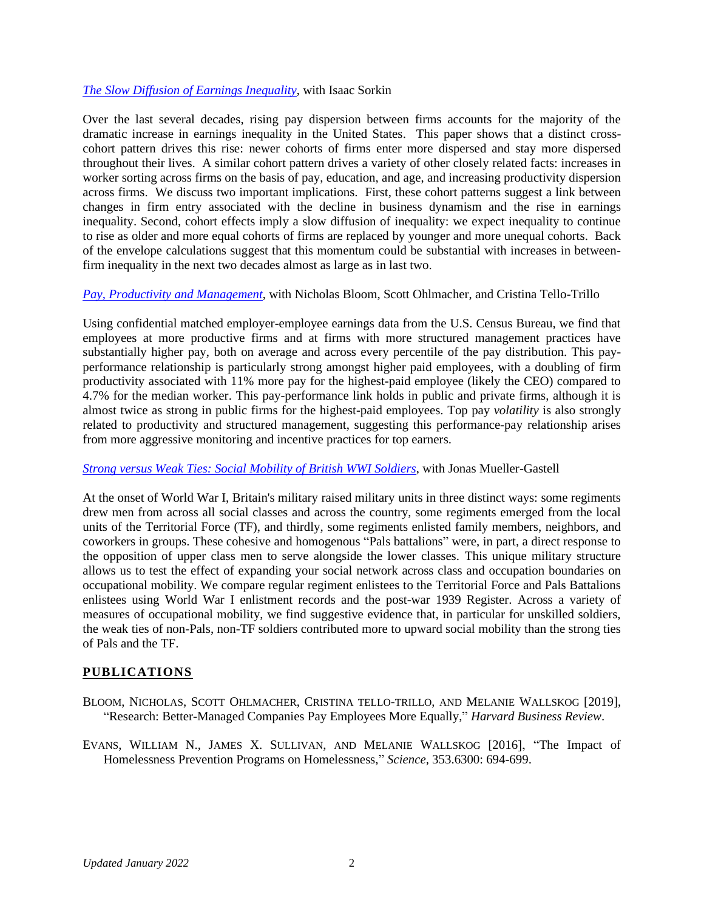#### *[The Slow Diffusion of Earnings Inequality](https://wallskog.su.domains/files/sorkinwallskog.pdf)*, with Isaac Sorkin

Over the last several decades, rising pay dispersion between firms accounts for the majority of the dramatic increase in earnings inequality in the United States. This paper shows that a distinct crosscohort pattern drives this rise: newer cohorts of firms enter more dispersed and stay more dispersed throughout their lives. A similar cohort pattern drives a variety of other closely related facts: increases in worker sorting across firms on the basis of pay, education, and age, and increasing productivity dispersion across firms. We discuss two important implications. First, these cohort patterns suggest a link between changes in firm entry associated with the decline in business dynamism and the rise in earnings inequality. Second, cohort effects imply a slow diffusion of inequality: we expect inequality to continue to rise as older and more equal cohorts of firms are replaced by younger and more unequal cohorts. Back of the envelope calculations suggest that this momentum could be substantial with increases in betweenfirm inequality in the next two decades almost as large as in last two.

#### *[Pay, Productivity](https://www.nber.org/papers/w29377) and Management*, with Nicholas Bloom, Scott Ohlmacher, and Cristina Tello-Trillo

Using confidential matched employer-employee earnings data from the U.S. Census Bureau, we find that employees at more productive firms and at firms with more structured management practices have substantially higher pay, both on average and across every percentile of the pay distribution. This payperformance relationship is particularly strong amongst higher paid employees, with a doubling of firm productivity associated with 11% more pay for the highest-paid employee (likely the CEO) compared to 4.7% for the median worker. This pay-performance link holds in public and private firms, although it is almost twice as strong in public firms for the highest-paid employees. Top pay *volatility* is also strongly related to productivity and structured management, suggesting this performance-pay relationship arises from more aggressive monitoring and incentive practices for top earners.

### *[Strong versus Weak Ties: Social Mobility of British WWI Soldiers](https://wallskog.su.domains/files/wallskog_muellergastell_pals.pdf)*, with Jonas Mueller-Gastell

At the onset of World War I, Britain's military raised military units in three distinct ways: some regiments drew men from across all social classes and across the country, some regiments emerged from the local units of the Territorial Force (TF), and thirdly, some regiments enlisted family members, neighbors, and coworkers in groups. These cohesive and homogenous "Pals battalions" were, in part, a direct response to the opposition of upper class men to serve alongside the lower classes. This unique military structure allows us to test the effect of expanding your social network across class and occupation boundaries on occupational mobility. We compare regular regiment enlistees to the Territorial Force and Pals Battalions enlistees using World War I enlistment records and the post-war 1939 Register. Across a variety of measures of occupational mobility, we find suggestive evidence that, in particular for unskilled soldiers, the weak ties of non-Pals, non-TF soldiers contributed more to upward social mobility than the strong ties of Pals and the TF.

### **PUBLICATIONS**

- BLOOM, NICHOLAS, SCOTT OHLMACHER, CRISTINA TELLO-TRILLO, AND MELANIE WALLSKOG [2019], "Research: Better-Managed Companies Pay Employees More Equally," *Harvard Business Review*.
- EVANS, WILLIAM N., JAMES X. SULLIVAN, AND MELANIE WALLSKOG [2016], "The Impact of Homelessness Prevention Programs on Homelessness," *Science,* 353.6300: 694-699.